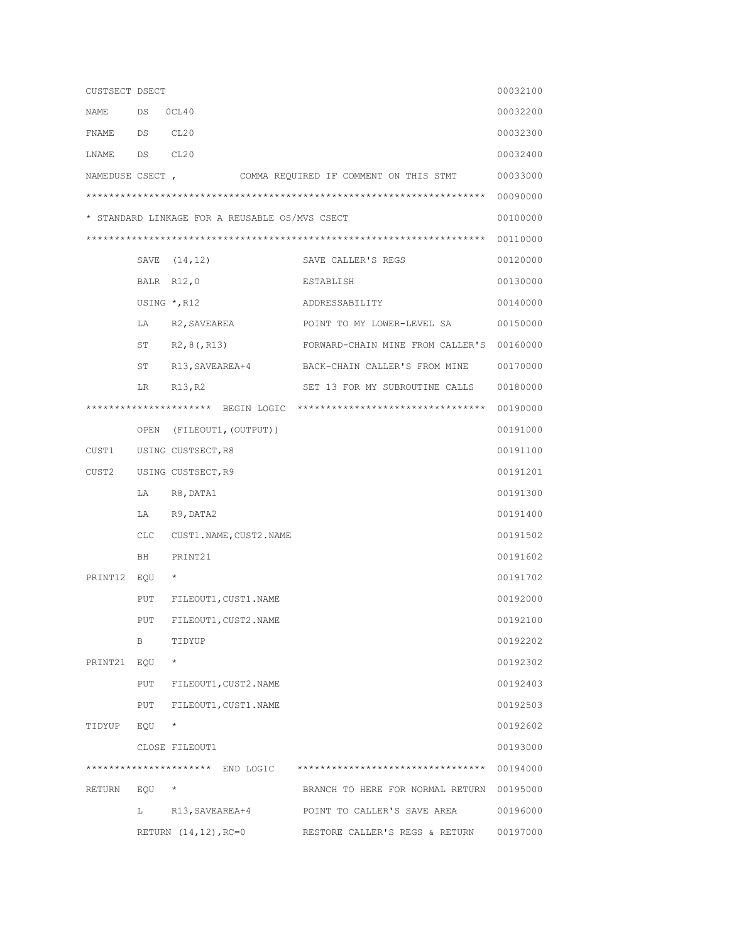| CUSTSECT DSECT                                 |       |                              |                                               | 00032100 |  |  |  |  |
|------------------------------------------------|-------|------------------------------|-----------------------------------------------|----------|--|--|--|--|
| NAME                                           | DS    | OCL40                        |                                               | 00032200 |  |  |  |  |
| FNAME DS                                       |       | CL20                         |                                               | 00032300 |  |  |  |  |
| LNAME                                          | DS    | CL20                         |                                               | 00032400 |  |  |  |  |
| NAMEDUSE CSECT,                                |       |                              | COMMA REQUIRED IF COMMENT ON THIS STMT        | 00033000 |  |  |  |  |
|                                                |       |                              |                                               | 00090000 |  |  |  |  |
| * STANDARD LINKAGE FOR A REUSABLE OS/MVS CSECT |       |                              |                                               |          |  |  |  |  |
|                                                |       |                              |                                               |          |  |  |  |  |
|                                                |       | SAVE (14,12)                 | SAVE CALLER'S REGS                            | 00120000 |  |  |  |  |
|                                                |       | BALR R12,0                   | ESTABLISH                                     | 00130000 |  |  |  |  |
|                                                |       | USING $\star$ , R12          | ADDRESSABILITY                                | 00140000 |  |  |  |  |
|                                                |       | LA R2, SAVEAREA              | POINT TO MY LOWER-LEVEL SA                    | 00150000 |  |  |  |  |
|                                                | ST    | R2,8(,R13)                   | FORWARD-CHAIN MINE FROM CALLER'S 00160000     |          |  |  |  |  |
|                                                | ST    |                              | R13, SAVEAREA+4 BACK-CHAIN CALLER'S FROM MINE | 00170000 |  |  |  |  |
|                                                | LR.   | R13, R2                      | SET 13 FOR MY SUBROUTINE CALLS                | 00180000 |  |  |  |  |
|                                                |       |                              |                                               | 00190000 |  |  |  |  |
|                                                | OPEN  | (FILEOUT1,(OUTPUT))          |                                               | 00191000 |  |  |  |  |
| CUST1                                          |       | USING CUSTSECT, R8           |                                               | 00191100 |  |  |  |  |
| CUST2                                          |       | USING CUSTSECT, R9           |                                               | 00191201 |  |  |  |  |
|                                                |       | LA R8, DATA1                 |                                               | 00191300 |  |  |  |  |
|                                                | LA    | R9, DATA2                    |                                               | 00191400 |  |  |  |  |
|                                                |       | CLC CUST1. NAME, CUST2. NAME |                                               | 00191502 |  |  |  |  |
|                                                | BH    | PRINT21                      |                                               | 00191602 |  |  |  |  |
| PRINT12                                        | EQU   | $^\star$                     |                                               | 00191702 |  |  |  |  |
|                                                | PUT   | FILEOUT1, CUST1.NAME         |                                               | 00192000 |  |  |  |  |
|                                                | PUT   | FILEOUT1, CUST2. NAME        |                                               | 00192100 |  |  |  |  |
|                                                | B     | TIDYUP                       |                                               | 00192202 |  |  |  |  |
| PRINT21                                        | EQU   | $\star$                      |                                               | 00192302 |  |  |  |  |
|                                                |       | PUT FILEOUT1, CUST2. NAME    |                                               | 00192403 |  |  |  |  |
|                                                |       | PUT FILEOUT1, CUST1. NAME    |                                               | 00192503 |  |  |  |  |
| TIDYUP                                         | EQU   | $\star$                      |                                               | 00192602 |  |  |  |  |
|                                                |       | CLOSE FILEOUT1               |                                               | 00193000 |  |  |  |  |
| **********************                         |       | END LOGIC                    | *********************************             | 00194000 |  |  |  |  |
| RETURN                                         | EQU * |                              | BRANCH TO HERE FOR NORMAL RETURN 00195000     |          |  |  |  |  |
|                                                | L     | R13, SAVEAREA+4              | POINT TO CALLER'S SAVE AREA                   | 00196000 |  |  |  |  |
|                                                |       | RETURN $(14, 12)$ , RC=0     | RESTORE CALLER'S REGS & RETURN                | 00197000 |  |  |  |  |